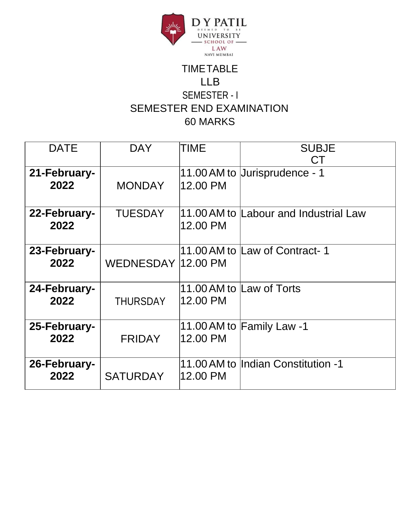

## TIMETABLE LLB SEMESTER - I SEMESTER END EXAMINATION 60 MARKS

| <b>DATE</b>          | <b>DAY</b>         | <b>TIME</b> | <b>SUBJE</b><br>СT                    |
|----------------------|--------------------|-------------|---------------------------------------|
| 21-February-<br>2022 | <b>MONDAY</b>      | 12.00 PM    | 11.00 AM to Uurisprudence - 1         |
| 22-February-<br>2022 | <b>TUESDAY</b>     | 12.00 PM    | 11.00 AM to Labour and Industrial Law |
| 23-February-<br>2022 | WEDNESDAY 12.00 PM |             | 11.00 AM to Law of Contract-1         |
| 24-February-<br>2022 | <b>THURSDAY</b>    | 12.00 PM    | 11.00 AM to Law of Torts              |
| 25-February-<br>2022 | <b>FRIDAY</b>      | 12.00 PM    | 11.00 AM to Family Law -1             |
| 26-February-<br>2022 | <b>SATURDAY</b>    | 12.00 PM    | 11.00 AM to Indian Constitution -1    |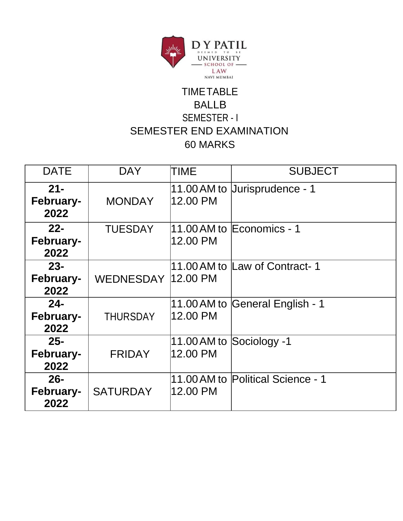

### TIMETABLE BALLB SEMESTER - I SEMESTER END EXAMINATION 60 MARKS

| <b>DATE</b>                        | <b>DAY</b>          | TIME     | <b>SUBJECT</b>                    |
|------------------------------------|---------------------|----------|-----------------------------------|
| $21 -$<br>February-<br>2022        | <b>MONDAY</b>       | 12.00 PM | 11.00 AM to Uurisprudence - 1     |
| $22 -$<br>February-<br>2022        | <b>TUESDAY</b>      | 12.00 PM | 11.00 AM to Economics - 1         |
| $23 -$<br><b>February-</b><br>2022 | WEDNESDAY  12.00 PM |          | 11.00 AM to Law of Contract-1     |
| $24 -$<br>February-<br>2022        | <b>THURSDAY</b>     | 12.00 PM | 11.00 AM to General English - 1   |
| $25 -$<br>February-<br>2022        | <b>FRIDAY</b>       | 12.00 PM | 11.00 AM to Sociology -1          |
| $26 -$<br>February-<br>2022        | <b>SATURDAY</b>     | 12.00 PM | 11.00 AM to Political Science - 1 |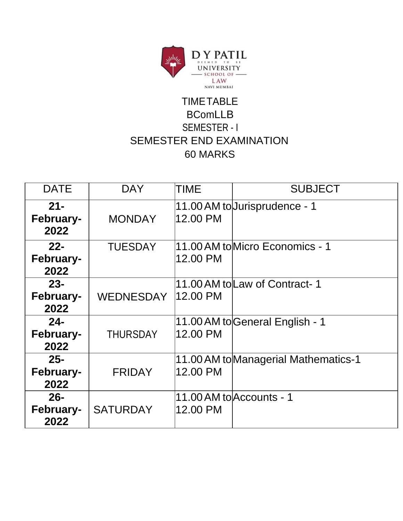

## TIMETABLE BComLLB SEMESTER - I SEMESTER END EXAMINATION 60 MARKS

| <b>DATE</b>                        | <b>DAY</b>      | <b>TIME</b> | <b>SUBJECT</b>                       |
|------------------------------------|-----------------|-------------|--------------------------------------|
| $21 -$<br><b>February-</b><br>2022 | <b>MONDAY</b>   | 12.00 PM    | 11.00 AM to Jurisprudence - 1        |
| $22 -$<br>February-<br>2022        | <b>TUESDAY</b>  | 12.00 PM    | 11.00 AM tolMicro Economics - 1      |
| $23 -$<br>February-<br>2022        | WEDNESDAY       | 12.00 PM    | 11.00 AM tolLaw of Contract-1        |
| $24 -$<br>February-<br>2022        | <b>THURSDAY</b> | 12.00 PM    | 11.00 AM to General English - 1      |
| $25 -$<br><b>February-</b><br>2022 | <b>FRIDAY</b>   | 12.00 PM    | 11.00 AM to Managerial Mathematics-1 |
| $26 -$<br>February-<br>2022        | <b>SATURDAY</b> | 12.00 PM    | 11.00 AM to Accounts - 1             |